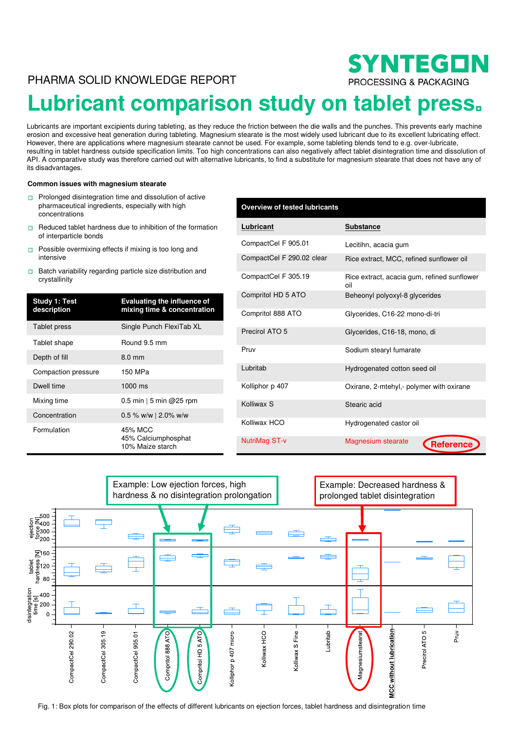# PHARMA SOLID KNOWLEDGE REPORT

# **Lubricant comparison study on tablet press**

Lubricants are important excipients during tableting, as they reduce the friction between the die walls and the punches. This prevents early machine erosion and excessive heat generation during tableting. Magnesium stearate is the most widely used lubricant due to its excellent lubricating effect. However, there are applications where magnesium stearate cannot be used. For example, some tableting blends tend to e.g. over-lubricate, resulting in tablet hardness outside specification limits. Too high concentrations can also negatively affect tablet disintegration time and dissolution of API. A comparative study was therefore carried out with alternative lubricants, to find a substitute for magnesium stearate that does not have any of its disadvantages.

#### **Common issues with magnesium stearate**

- $\Box$  Prolonged disintegration time and dissolution of active pharmaceutical ingredients, especially with high concentrations
- $\Box$  Reduced tablet hardness due to inhibition of the formation of interparticle bonds
- Possible overmixing effects if mixing is too long and  $\Box$ intensive
- □ Batch variability regarding particle size distribution and crystallinity

| Study 1: Test<br>description | <b>Evaluating the influence of</b><br>mixing time & concentration |
|------------------------------|-------------------------------------------------------------------|
| Tablet press                 | Single Punch FlexiTab XL                                          |
| Tablet shape                 | Round 9.5 mm                                                      |
| Depth of fill                | $8.0 \text{ mm}$                                                  |
| Compaction pressure          | 150 MPa                                                           |
| Dwell time                   | $1000$ ms                                                         |
| Mixing time                  | 0.5 min   5 min @ 25 rpm                                          |
| Concentration                | $0.5$ % w/w   2.0% w/w                                            |
| Formulation                  | 45% MCC<br>45% Calciumphosphat<br>10% Maize starch                |

| , especially with high                                            | <b>Overview of tested lubricants</b> |                                                    |  |
|-------------------------------------------------------------------|--------------------------------------|----------------------------------------------------|--|
| lue to inhibition of the formation                                | Lubricant                            | <b>Substance</b>                                   |  |
| if mixing is too long and                                         | CompactCel F 905.01                  | Lecitihn, acacia gum                               |  |
|                                                                   | CompactCel F 290.02 clear            | Rice extract, MCC, refined sunflower oil           |  |
| particle size distribution and                                    | CompactCel F 305.19                  | Rice extract, acacia gum, refined sunflower<br>oil |  |
| <b>Evaluating the influence of</b><br>mixing time & concentration | Compritol HD 5 ATO                   | Beheonyl polyoxyl-8 glycerides                     |  |
|                                                                   | Compritol 888 ATO                    | Glycerides, C16-22 mono-di-tri                     |  |
| Single Punch FlexiTab XL                                          | Precirol ATO 5                       | Glycerides, C16-18, mono, di                       |  |
| Round 9.5 mm                                                      | Pruv                                 |                                                    |  |
| 8.0 mm                                                            |                                      | Sodium stearyl fumarate                            |  |
| 150 MPa                                                           | Lubritab                             | Hydrogenated cotton seed oil                       |  |
| 1000 ms                                                           | Kolliphor p 407                      | Oxirane, 2-mtehyl,- polymer with oxirane           |  |
| $0.5$ min $\vert 5$ min @25 rpm                                   | Kolliwax S                           | Stearic acid                                       |  |
| 0.5 % w/w   2.0% w/w                                              |                                      |                                                    |  |
| 45% MCC                                                           | Kolliwax HCO                         | Hydrogenated castor oil                            |  |
| 45% Calciumphosphat<br>10% Maize starch                           | NutriMag ST-v                        | <b>Magnesium stearate</b><br>Reference             |  |

SYNTEGON

PROCESSING & PACKAGING